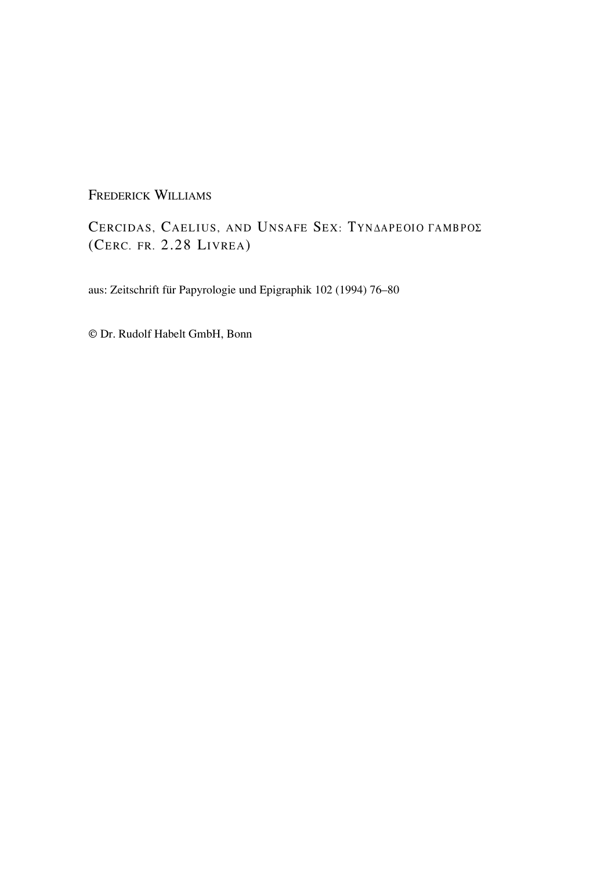FREDERICK WILLIAMS

CERCIDAS, CAELIUS, AND UNSAFE SEX: TYNAAPEOIO TAMBPOZ (CERC. FR. 2.28 LIVREA)

aus: Zeitschrift für Papyrologie und Epigraphik 102 (1994) 76–80

© Dr. Rudolf Habelt GmbH, Bonn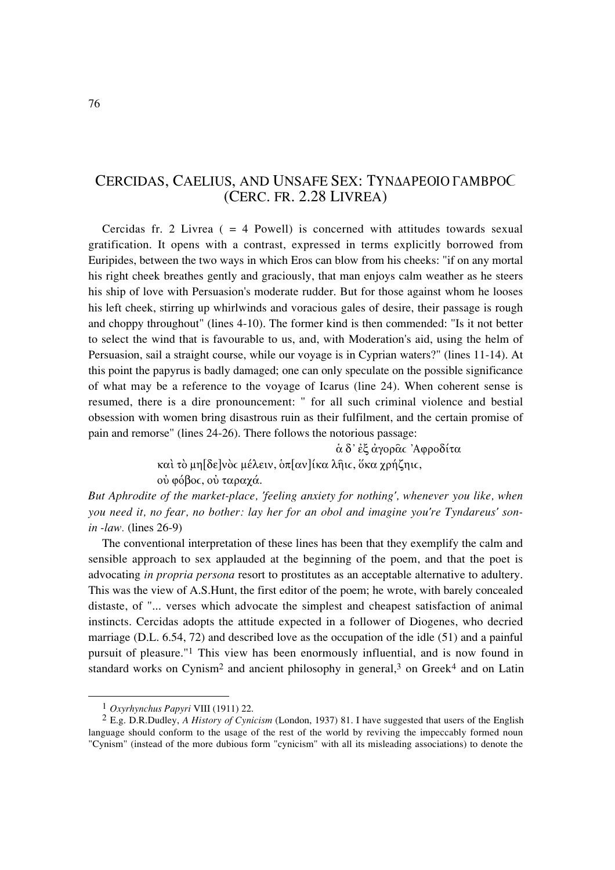## CERCIDAS, CAELIUS, AND UNSAFE SEX: TYNAAPEOIO FAMBPOC (CERC. FR. 2.28 LIVREA)

Cercidas fr. 2 Livrea  $( = 4$  Powell) is concerned with attitudes towards sexual gratification. It opens with a contrast, expressed in terms explicitly borrowed from Euripides, between the two ways in which Eros can blow from his cheeks: "if on any mortal his right cheek breathes gently and graciously, that man enjoys calm weather as he steers his ship of love with Persuasion's moderate rudder. But for those against whom he looses his left cheek, stirring up whirlwinds and voracious gales of desire, their passage is rough and choppy throughout" (lines 4-10). The former kind is then commended: "Is it not better to select the wind that is favourable to us, and, with Moderation's aid, using the helm of Persuasion, sail a straight course, while our voyage is in Cyprian waters?" (lines 11-14). At this point the papyrus is badly damaged; one can only speculate on the possible significance of what may be a reference to the voyage of Icarus (line 24). When coherent sense is resumed, there is a dire pronouncement: " for all such criminal violence and bestial obsession with women bring disastrous ruin as their fulfilment, and the certain promise of pain and remorse" (lines 24-26). There follows the notorious passage:

 $\dot{\alpha} \delta$ ' έξ άγορδι 'Αφροδίτα

καὶ τὸ μη[δε]νὸς μέλειν, ὁπ[αν]ίκα λῆις, ὅκα χρήζηις, ού φόβος, ού ταραχά.

*But Aphrodite of the market-place, 'feeling anxiety for nothing', whenever you like, when you need it, no fear, no bother: lay her for an obol and imagine you're Tyndareus' sonin -law.* (lines 26-9)

The conventional interpretation of these lines has been that they exemplify the calm and sensible approach to sex applauded at the beginning of the poem, and that the poet is advocating *in propria persona* resort to prostitutes as an acceptable alternative to adultery. This was the view of A.S.Hunt, the first editor of the poem; he wrote, with barely concealed distaste, of "... verses which advocate the simplest and cheapest satisfaction of animal instincts. Cercidas adopts the attitude expected in a follower of Diogenes, who decried marriage (D.L. 6.54, 72) and described love as the occupation of the idle (51) and a painful pursuit of pleasure."1 This view has been enormously influential, and is now found in standard works on Cynism<sup>2</sup> and ancient philosophy in general,<sup>3</sup> on Greek<sup>4</sup> and on Latin

<sup>1</sup> *Oxyrhynchus Papyri* VIII (1911) 22.

<sup>2</sup> E.g. D.R.Dudley, *A History of Cynicism* (London, 1937) 81. I have suggested that users of the English language should conform to the usage of the rest of the world by reviving the impeccably formed noun "Cynism" (instead of the more dubious form "cynicism" with all its misleading associations) to denote the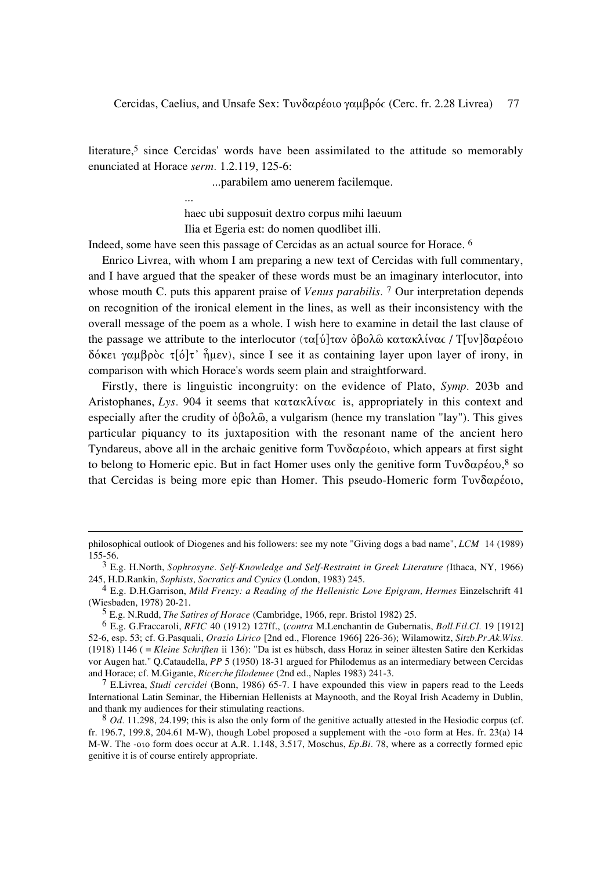literature,<sup>5</sup> since Cercidas' words have been assimilated to the attitude so memorably enunciated at Horace serm. 1.2.119, 125-6:

...parabilem amo uenerem facilemque.

haec ubi supposuit dextro corpus mihi laeuum Ilia et Egeria est: do nomen quodlibet illi.

Indeed, some have seen this passage of Cercidas as an actual source for Horace. <sup>6</sup>

 $\dddotsc$ 

Enrico Livrea, with whom I am preparing a new text of Cercidas with full commentary, and I have argued that the speaker of these words must be an imaginary interlocutor, into whose mouth C, puts this apparent praise of *Venus parabilis*.<sup>7</sup> Our interpretation depends on recognition of the ironical element in the lines, as well as their inconsistency with the overall message of the poem as a whole. I wish here to examine in detail the last clause of the passage we attribute to the interlocutor (τα[ύ]ταν όβολῶ κατακλίνας /  $T$ [υν]δαρέοιο δόκει γαμβρὸς τ[ό]τ' ἦμεν), since I see it as containing layer upon layer of irony, in comparison with which Horace's words seem plain and straightforward.

Firstly, there is linguistic incongruity: on the evidence of Plato, Symp. 203b and Aristophanes, Lys. 904 it seems that  $\kappa \alpha \tau \alpha \kappa \lambda$  (v) as appropriately in this context and especially after the crudity of  $\dot{\phi}$   $\beta$  $\phi \lambda \hat{\omega}$ , a vulgarism (hence my translation "lay"). This gives particular piquancy to its juxtaposition with the resonant name of the ancient hero Tyndareus, above all in the archaic genitive form  $T\upsilon\upsilon\delta\alpha\rho\acute{\epsilon} \omega\upsilon$ , which appears at first sight to belong to Homeric epic. But in fact Homer uses only the genitive form  $T\upsilon\upsilon\delta\alpha\rho\acute{\epsilon}\omega$ , so that Cercidas is being more epic than Homer. This pseudo-Homeric form  $Tov\delta\alpha\rho\acute{\epsilon}oo$ ,

philosophical outlook of Diogenes and his followers: see my note "Giving dogs a bad name", LCM 14 (1989) 155-56.

<sup>&</sup>lt;sup>3</sup> E.g. H.North, Sophrosyne. Self-Knowledge and Self-Restraint in Greek Literature (Ithaca, NY, 1966) 245, H.D.Rankin, Sophists, Socratics and Cynics (London, 1983) 245.

 $4$  E.g. D.H.Garrison, Mild Frenzy: a Reading of the Hellenistic Love Epigram, Hermes Einzelschrift 41 (Wiesbaden, 1978) 20-21.

<sup>&</sup>lt;sup>5</sup> E.g. N.Rudd, *The Satires of Horace* (Cambridge, 1966, repr. Bristol 1982) 25.

 $6$  E.g. G.Fraccaroli, RFIC 40 (1912) 127ff., (contra M.Lenchantin de Gubernatis, Boll.Fil.Cl. 19 [1912] 52-6, esp. 53; cf. G.Pasquali, Orazio Lirico [2nd ed., Florence 1966] 226-36); Wilamowitz, Sitzb.Pr.Ak.Wiss. (1918)  $1146$  (= Kleine Schriften ii 136): "Da ist es hübsch, dass Horaz in seiner ältesten Satire den Kerkidas vor Augen hat." Q.Cataudella, PP 5 (1950) 18-31 argued for Philodemus as an intermediary between Cercidas and Horace; cf. M.Gigante, Ricerche filodemee (2nd ed., Naples 1983) 241-3.

<sup>&</sup>lt;sup>7</sup> E.Livrea, *Studi cercidei* (Bonn, 1986) 65-7. I have expounded this view in papers read to the Leeds International Latin Seminar, the Hibernian Hellenists at Maynooth, and the Royal Irish Academy in Dublin, and thank my audiences for their stimulating reactions.

<sup>8</sup> Od. 11.298, 24.199; this is also the only form of the genitive actually attested in the Hesiodic corpus (cf. fr. 196.7, 199.8, 204.61 M-W), though Lobel proposed a supplement with the -oto form at Hes. fr. 23(a) 14 M-W. The -oto form does occur at A.R. 1.148, 3.517, Moschus, Ep.Bi. 78, where as a correctly formed epic genitive it is of course entirely appropriate.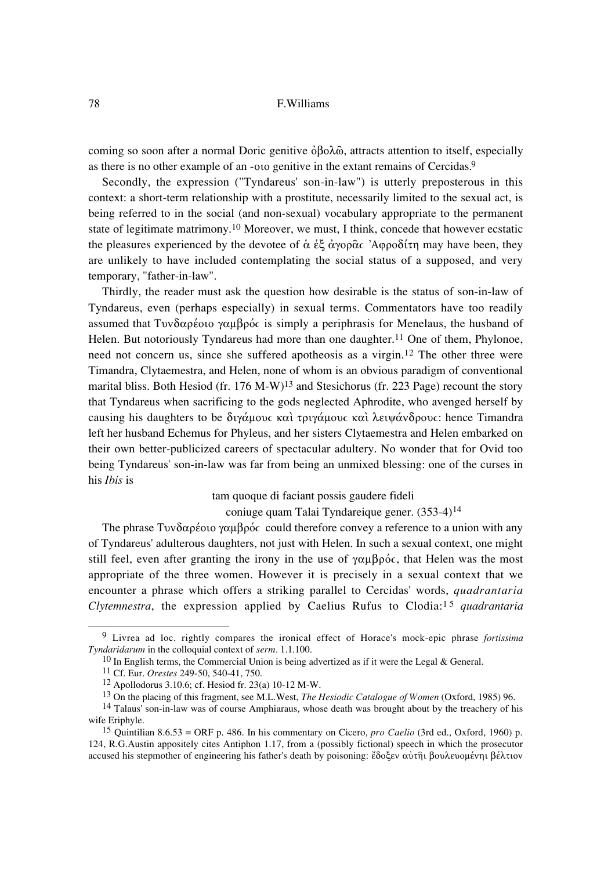## 78 F.Williams

coming so soon after a normal Doric genitive  $\dot{\phi} \beta_0 \lambda_0 \hat{\omega}$ , attracts attention to itself, especially as there is no other example of an -oio genitive in the extant remains of Cercidas.9

Secondly, the expression ("Tyndareus' son-in-law") is utterly preposterous in this context: a short-term relationship with a prostitute, necessarily limited to the sexual act, is being referred to in the social (and non-sexual) vocabulary appropriate to the permanent state of legitimate matrimony.10 Moreover, we must, I think, concede that however ecstatic the pleasures experienced by the devotee of  $\dot{\alpha} \dot{\epsilon} \dot{\zeta} \dot{\alpha} \gamma \dot{\alpha} \rho \dot{\alpha} \dot{\alpha}$  'Agoo $\delta(\tau)$  may have been, they are unlikely to have included contemplating the social status of a supposed, and very temporary, "father-in-law".

Thirdly, the reader must ask the question how desirable is the status of son-in-law of Tyndareus, even (perhaps especially) in sexual terms. Commentators have too readily assumed that Tuy $\delta \alpha$  péople  $\gamma \alpha$ u $\beta$  póc is simply a periphrasis for Menelaus, the husband of Helen. But notoriously Tyndareus had more than one daughter.<sup>11</sup> One of them, Phylonoe, need not concern us, since she suffered apotheosis as a virgin.12 The other three were Timandra, Clytaemestra, and Helen, none of whom is an obvious paradigm of conventional marital bliss. Both Hesiod (fr. 176 M-W)<sup>13</sup> and Stesichorus (fr. 223 Page) recount the story that Tyndareus when sacrificing to the gods neglected Aphrodite, who avenged herself by causing his daughters to be διγάμους και τριγάμους και λειψάνδρους: hence Timandra left her husband Echemus for Phyleus, and her sisters Clytaemestra and Helen embarked on their own better-publicized careers of spectacular adultery. No wonder that for Ovid too being Tyndareus' son-in-law was far from being an unmixed blessing: one of the curses in his *Ibis* is

tam quoque di faciant possis gaudere fideli

coniuge quam Talai Tyndareique gener. (353-4)14

The phrase Tuv $\delta \alpha$  péono you  $\beta \rho \delta c$  could therefore convey a reference to a union with any of Tyndareus' adulterous daughters, not just with Helen. In such a sexual context, one might still feel, even after granting the irony in the use of  $\gamma \alpha \mu \beta \rho \acute{o}c$ , that Helen was the most appropriate of the three women. However it is precisely in a sexual context that we encounter a phrase which offers a striking parallel to Cercidas' words, *quadrantaria Clytemnestra*, the expression applied by Caelius Rufus to Clodia:<sup>15</sup> *quadrantaria* 

<sup>9</sup> Livrea ad loc. rightly compares the ironical effect of Horace's mock-epic phrase *fortissima Tyndaridarum* in the colloquial context of *serm.* 1.1.100.

<sup>10</sup> In English terms, the Commercial Union is being advertized as if it were the Legal & General.

<sup>11</sup> Cf. Eur. *Orestes* 249-50, 540-41, 750.

<sup>12</sup> Apollodorus 3.10.6; cf. Hesiod fr. 23(a) 10-12 M-W.

<sup>13</sup> On the placing of this fragment, see M.L.West, *The Hesiodic Catalogue of Women* (Oxford, 1985) 96.

<sup>14</sup> Talaus' son-in-law was of course Amphiaraus, whose death was brought about by the treachery of his wife Eriphyle.

<sup>15</sup> Quintilian 8.6.53 = ORF p. 486. In his commentary on Cicero, *pro Caelio* (3rd ed., Oxford, 1960) p. 124, R.G.Austin appositely cites Antiphon 1.17, from a (possibly fictional) speech in which the prosecutor accused his stepmother of engineering his father's death by poisoning: ἔδοξεν αὐτῆι βουλευομένηι βέλτιον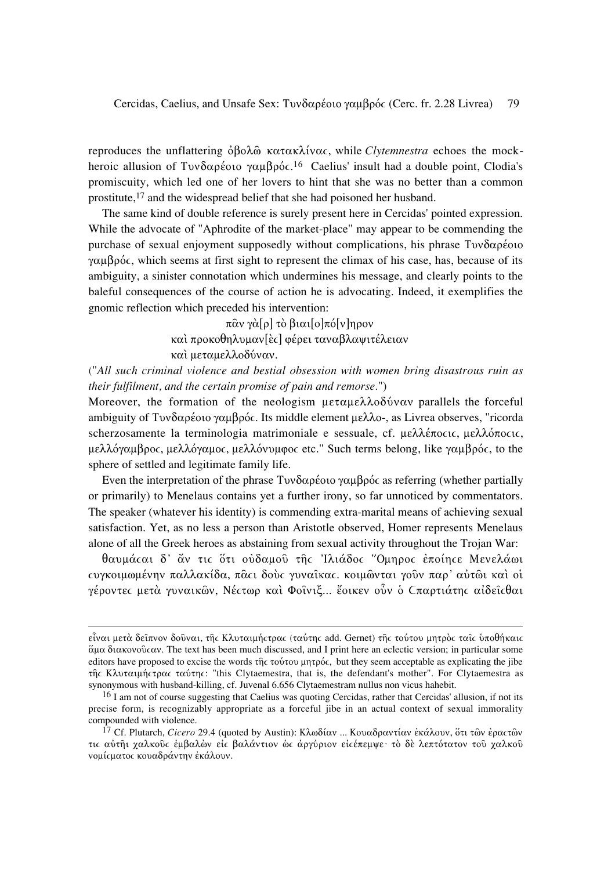reproduces the unflattering  $\dot{\phi} \beta \dot{\phi} \lambda \dot{\phi}$  κατακλίνας, while *Clytemnestra* echoes the mockheroic allusion of Tvv $\delta \alpha \rho \epsilon$  oto  $\gamma \alpha \mu \beta \rho \delta c$ .<sup>16</sup> Caelius' insult had a double point, Clodia's promiscuity, which led one of her lovers to hint that she was no better than a common prostitute,<sup>17</sup> and the widespread belief that she had poisoned her husband.

The same kind of double reference is surely present here in Cercidas' pointed expression. While the advocate of "Aphrodite of the market-place" may appear to be commending the purchase of sexual enjoyment supposedly without complications, his phrase Τυνδαρέοιο  $\gamma\alpha\mu\beta\rho\acute{o}c$ , which seems at first sight to represent the climax of his case, has, because of its ambiguity, a sinister connotation which undermines his message, and clearly points to the baleful consequences of the course of action he is advocating. Indeed, it exemplifies the gnomic reflection which preceded his intervention:

> $\pi \hat{\alpha} v \gamma \hat{\alpha}[\rho] \tau \hat{\alpha} \beta u \alpha [\rho] \pi \hat{\alpha}[\nu] \eta \rho \sigma \nu$ καί προκοθηλυμαν[ες] φέρει ταναβλαψιτέλειαν καί μεταμελλοδύναν.

("All such criminal violence and bestial obsession with women bring disastrous ruin as their fulfilment, and the certain promise of pain and remorse.")

Moreover, the formation of the neologism  $\mu \in \alpha \mu \in \alpha \lambda$  and  $\alpha \in \alpha$  parallels the forceful ambiguity of Tvv $\delta \alpha$ ρέοιο γαμβρός. Its middle element μελλο-, as Livrea observes, "ricorda" scherzosamente la terminologia matrimoniale e sessuale, cf. μελλέπος ις, μελλόπος ις, μελλόγαμβρος, μελλόγαμος, μελλόνυμφος etc." Such terms belong, like γαμβρός, to the sphere of settled and legitimate family life.

Even the interpretation of the phrase  $T \nu \delta \alpha \rho \epsilon$  or  $\gamma \alpha \mu \beta \rho \delta \epsilon$  as referring (whether partially or primarily) to Menelaus contains yet a further irony, so far unnoticed by commentators. The speaker (whatever his identity) is commending extra-marital means of achieving sexual satisfaction. Yet, as no less a person than Aristotle observed, Homer represents Menelaus alone of all the Greek heroes as abstaining from sexual activity throughout the Trojan War:

θαυμάςαι δ' άν τις ότι ούδαμού της Ίλιάδος "Ομηρος έποίης εΜενελάωι τυγκοιμωμένην παλλακίδα, παςι δούς γυναΐκας, κοιμώνται γούν παρ' αύτωι καί οί γέροντες μετά γυναικῶν, Νέςτωρ καὶ Φοῖνιξ... ἔοικεν οὖν ὁ Cπαρτιάτης αἰδεῖςθαι

είναι μετά δείπνον δούναι, της Κλυταιμήςτρας (ταύτης add. Gernet) της τούτου μητρός ταις υποθήκαις  $\alpha$  διακονούς αν. The text has been much discussed, and I print here an eclectic version; in particular some editors have proposed to excise the words της τούτου μητρός, but they seem acceptable as explicating the jibe της Κλυταιμής τρας ταύτης: "this Clytaemestra, that is, the defendant's mother". For Clytaemestra as synonymous with husband-killing, cf. Juvenal 6.656 Clytaemestram nullus non vicus hahebit.

<sup>&</sup>lt;sup>16</sup> I am not of course suggesting that Caelius was quoting Cercidas, rather that Cercidas' allusion, if not its precise form, is recognizably appropriate as a forceful jibe in an actual context of sexual immorality compounded with violence.

<sup>&</sup>lt;sup>17</sup> Cf. Plutarch, *Cicero* 29.4 (quoted by Austin): Κλωδίαν ... Κουαδραντίαν έκάλουν, ότι των έρας των τις αύτηι χαλκούς έμβαλών είς βαλάντιον ώς άργύριον είςέπεμψε· τό δέ λεπτότατον τού χαλκού νομίς ματος κουαδράντην έκάλουν.